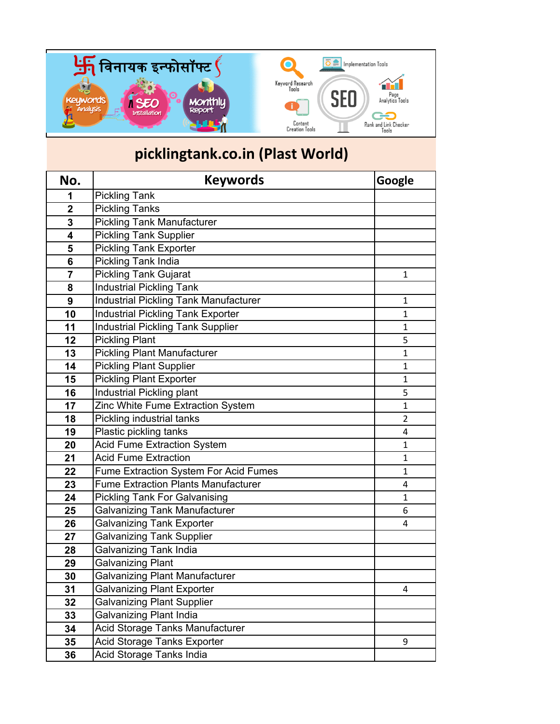

## **picklingtank.co.in (Plast World)**

| No.            | <b>Keywords</b>                              | Google         |
|----------------|----------------------------------------------|----------------|
| 1              | <b>Pickling Tank</b>                         |                |
| $\overline{2}$ | <b>Pickling Tanks</b>                        |                |
| 3              | <b>Pickling Tank Manufacturer</b>            |                |
| 4              | <b>Pickling Tank Supplier</b>                |                |
| 5              | <b>Pickling Tank Exporter</b>                |                |
| 6              | Pickling Tank India                          |                |
| 7              | <b>Pickling Tank Gujarat</b>                 | $\mathbf{1}$   |
| 8              | <b>Industrial Pickling Tank</b>              |                |
| 9              | <b>Industrial Pickling Tank Manufacturer</b> | 1              |
| 10             | <b>Industrial Pickling Tank Exporter</b>     | $\mathbf{1}$   |
| 11             | <b>Industrial Pickling Tank Supplier</b>     | $\mathbf{1}$   |
| 12             | <b>Pickling Plant</b>                        | 5              |
| 13             | <b>Pickling Plant Manufacturer</b>           | $\mathbf{1}$   |
| 14             | <b>Pickling Plant Supplier</b>               | $\mathbf{1}$   |
| 15             | <b>Pickling Plant Exporter</b>               | $\mathbf{1}$   |
| 16             | Industrial Pickling plant                    | 5              |
| 17             | Zinc White Fume Extraction System            | $\mathbf{1}$   |
| 18             | Pickling industrial tanks                    | $\overline{2}$ |
| 19             | Plastic pickling tanks                       | 4              |
| 20             | <b>Acid Fume Extraction System</b>           | $\mathbf{1}$   |
| 21             | <b>Acid Fume Extraction</b>                  | 1              |
| 22             | Fume Extraction System For Acid Fumes        | 1              |
| 23             | <b>Fume Extraction Plants Manufacturer</b>   | 4              |
| 24             | <b>Pickling Tank For Galvanising</b>         | $\mathbf{1}$   |
| 25             | <b>Galvanizing Tank Manufacturer</b>         | 6              |
| 26             | <b>Galvanizing Tank Exporter</b>             | 4              |
| 27             | <b>Galvanizing Tank Supplier</b>             |                |
| 28             | Galvanizing Tank India                       |                |
| 29             | <b>Galvanizing Plant</b>                     |                |
| 30             | Galvanizing Plant Manufacturer               |                |
| 31             | <b>Galvanizing Plant Exporter</b>            | 4              |
| 32             | <b>Galvanizing Plant Supplier</b>            |                |
| 33             | Galvanizing Plant India                      |                |
| 34             | Acid Storage Tanks Manufacturer              |                |
| 35             | Acid Storage Tanks Exporter                  | 9              |
| 36             | Acid Storage Tanks India                     |                |